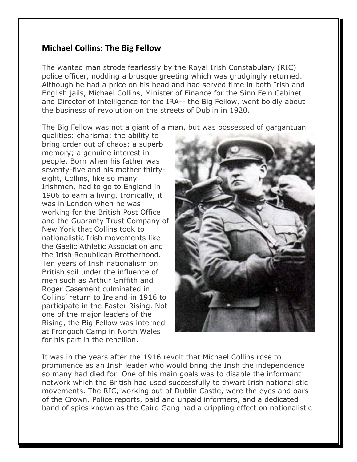## **Michael Collins: The Big Fellow**

The wanted man strode fearlessly by the Royal Irish Constabulary (RIC) police officer, nodding a brusque greeting which was grudgingly returned. Although he had a price on his head and had served time in both Irish and English jails, Michael Collins, Minister of Finance for the Sinn Fein Cabinet and Director of Intelligence for the IRA-- the Big Fellow, went boldly about the business of revolution on the streets of Dublin in 1920.

The Big Fellow was not a giant of a man, but was possessed of gargantuan

qualities: charisma; the ability to bring order out of chaos; a superb memory; a genuine interest in people. Born when his father was seventy-five and his mother thirtyeight, Collins, like so many Irishmen, had to go to England in 1906 to earn a living. Ironically, it was in London when he was working for the British Post Office and the Guaranty Trust Company of New York that Collins took to nationalistic Irish movements like the Gaelic Athletic Association and the Irish Republican Brotherhood. Ten years of Irish nationalism on British soil under the influence of men such as Arthur Griffith and Roger Casement culminated in Collins' return to Ireland in 1916 to participate in the Easter Rising. Not one of the major leaders of the Rising, the Big Fellow was interned at Frongoch Camp in North Wales for his part in the rebellion.



It was in the years after the 1916 revolt that Michael Collins rose to prominence as an Irish leader who would bring the Irish the independence so many had died for. One of his main goals was to disable the informant network which the British had used successfully to thwart Irish nationalistic movements. The RIC, working out of Dublin Castle, were the eyes and oars of the Crown. Police reports, paid and unpaid informers, and a dedicated band of spies known as the Cairo Gang had a crippling effect on nationalistic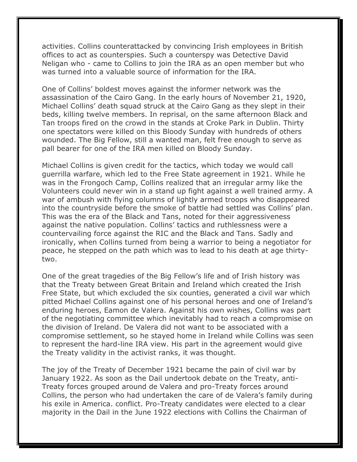activities. Collins counterattacked by convincing Irish employees in British offices to act as counterspies. Such a counterspy was Detective David Neligan who - came to Collins to join the IRA as an open member but who was turned into a valuable source of information for the IRA.

One of Collins' boldest moves against the informer network was the assassination of the Cairo Gang. In the early hours of November 21, 1920, Michael Collins' death squad struck at the Cairo Gang as they slept in their beds, killing twelve members. In reprisal, on the same afternoon Black and Tan troops fired on the crowd in the stands at Croke Park in Dublin. Thirty one spectators were killed on this Bloody Sunday with hundreds of others wounded. The Big Fellow, still a wanted man, felt free enough to serve as pall bearer for one of the IRA men killed on Bloody Sunday.

Michael Collins is given credit for the tactics, which today we would call guerrilla warfare, which led to the Free State agreement in 1921. While he was in the Frongoch Camp, Collins realized that an irregular army like the Volunteers could never win in a stand up fight against a well trained army. A war of ambush with flying columns of lightly armed troops who disappeared into the countryside before the smoke of battle had settled was Collins' plan. This was the era of the Black and Tans, noted for their aggressiveness against the native population. Collins' tactics and ruthlessness were a countervailing force against the RIC and the Black and Tans. Sadly and ironically, when Collins turned from being a warrior to being a negotiator for peace, he stepped on the path which was to lead to his death at age thirtytwo.

One of the great tragedies of the Big Fellow's life and of Irish history was that the Treaty between Great Britain and Ireland which created the Irish Free State, but which excluded the six counties, generated a civil war which pitted Michael Collins against one of his personal heroes and one of Ireland's enduring heroes, Eamon de Valera. Against his own wishes, Collins was part of the negotiating committee which inevitably had to reach a compromise on the division of Ireland. De Valera did not want to be associated with a compromise settlement, so he stayed home in Ireland while Collins was seen to represent the hard-line IRA view. His part in the agreement would give the Treaty validity in the activist ranks, it was thought.

The joy of the Treaty of December 1921 became the pain of civil war by January 1922. As soon as the Dail undertook debate on the Treaty, anti-Treaty forces grouped around de Valera and pro-Treaty forces around Collins, the person who had undertaken the care of de Valera's family during his exile in America. conflict. Pro-Treaty candidates were elected to a clear majority in the Dail in the June 1922 elections with Collins the Chairman of